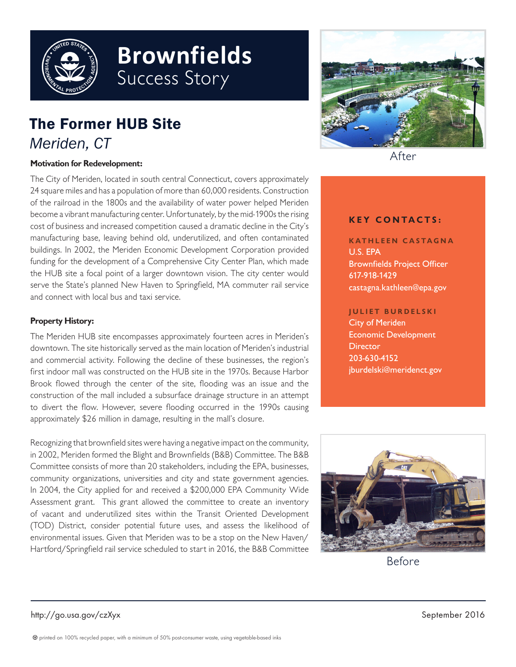

# **Brownfields** Success Story

# The Former HUB Site *Meriden, CT*

#### **Motivation for Redevelopment:**

The City of Meriden, located in south central Connecticut, covers approximately 24 square miles and has a population of more than 60,000 residents. Construction of the railroad in the 1800s and the availability of water power helped Meriden become a vibrant manufacturing center. Unfortunately, by the mid-1900s the rising cost of business and increased competition caused a dramatic decline in the City's manufacturing base, leaving behind old, underutilized, and often contaminated buildings. In 2002, the Meriden Economic Development Corporation provided funding for the development of a Comprehensive City Center Plan, which made the HUB site a focal point of a larger downtown vision. The city center would serve the State's planned New Haven to Springfield, MA commuter rail service and connect with local bus and taxi service.

#### **Property History:**

The Meriden HUB site encompasses approximately fourteen acres in Meriden's downtown. The site historically served as the main location of Meriden's industrial and commercial activity. Following the decline of these businesses, the region's first indoor mall was constructed on the HUB site in the 1970s. Because Harbor Brook flowed through the center of the site, flooding was an issue and the construction of the mall included a subsurface drainage structure in an attempt to divert the flow. However, severe flooding occurred in the 1990s causing approximately \$26 million in damage, resulting in the mall's closure.

Recognizing that brownfield sites were having a negative impact on the community, in 2002, Meriden formed the Blight and Brownfields (B&B) Committee. The B&B Committee consists of more than 20 stakeholders, including the EPA, businesses, community organizations, universities and city and state government agencies. In 2004, the City applied for and received a \$200,000 EPA Community Wide Assessment grant. This grant allowed the committee to create an inventory of vacant and underutilized sites within the Transit Oriented Development (TOD) District, consider potential future uses, and assess the likelihood of environmental issues. Given that Meriden was to be a stop on the New Haven/ Hartford/Springfield rail service scheduled to start in 2016, the B&B Committee



After

#### **KEY CONTACTS:**

**KATHLEEN CASTAGNA** U.S. EPA Brownfields Project Officer 617-918-1429 castagna.kathleen@epa.gov

#### **JULIET BURDELSKI**

City of Meriden Economic Development **Director** 203-630-4152 jburdelski@meridenct.gov



Before